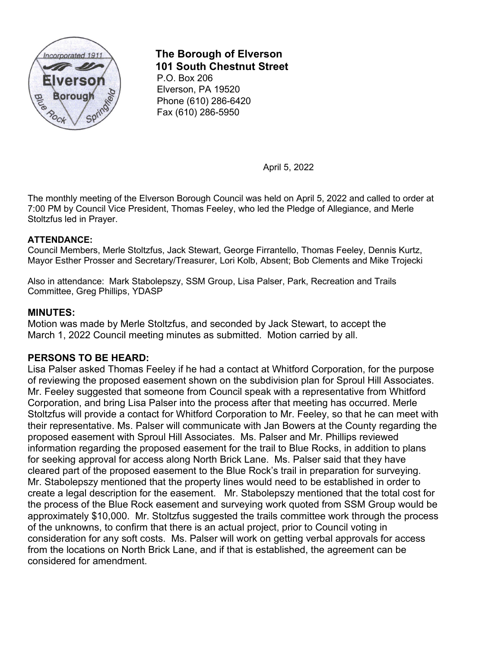

# **The Borough of Elverson 101 South Chestnut Street**

P.O. Box 206 Elverson, PA 19520 Phone (610) 286-6420 Fax (610) 286-5950

April 5, 2022

The monthly meeting of the Elverson Borough Council was held on April 5, 2022 and called to order at 7:00 PM by Council Vice President, Thomas Feeley, who led the Pledge of Allegiance, and Merle Stoltzfus led in Prayer.

## **ATTENDANCE:**

Council Members, Merle Stoltzfus, Jack Stewart, George Firrantello, Thomas Feeley, Dennis Kurtz, Mayor Esther Prosser and Secretary/Treasurer, Lori Kolb, Absent; Bob Clements and Mike Trojecki

Also in attendance: Mark Stabolepszy, SSM Group, Lisa Palser, Park, Recreation and Trails Committee, Greg Phillips, YDASP

## **MINUTES:**

Motion was made by Merle Stoltzfus, and seconded by Jack Stewart, to accept the March 1, 2022 Council meeting minutes as submitted. Motion carried by all.

# **PERSONS TO BE HEARD:**

Lisa Palser asked Thomas Feeley if he had a contact at Whitford Corporation, for the purpose of reviewing the proposed easement shown on the subdivision plan for Sproul Hill Associates. Mr. Feeley suggested that someone from Council speak with a representative from Whitford Corporation, and bring Lisa Palser into the process after that meeting has occurred. Merle Stoltzfus will provide a contact for Whitford Corporation to Mr. Feeley, so that he can meet with their representative. Ms. Palser will communicate with Jan Bowers at the County regarding the proposed easement with Sproul Hill Associates. Ms. Palser and Mr. Phillips reviewed information regarding the proposed easement for the trail to Blue Rocks, in addition to plans for seeking approval for access along North Brick Lane. Ms. Palser said that they have cleared part of the proposed easement to the Blue Rock's trail in preparation for surveying. Mr. Stabolepszy mentioned that the property lines would need to be established in order to create a legal description for the easement. Mr. Stabolepszy mentioned that the total cost for the process of the Blue Rock easement and surveying work quoted from SSM Group would be approximately \$10,000. Mr. Stoltzfus suggested the trails committee work through the process of the unknowns, to confirm that there is an actual project, prior to Council voting in consideration for any soft costs. Ms. Palser will work on getting verbal approvals for access from the locations on North Brick Lane, and if that is established, the agreement can be considered for amendment.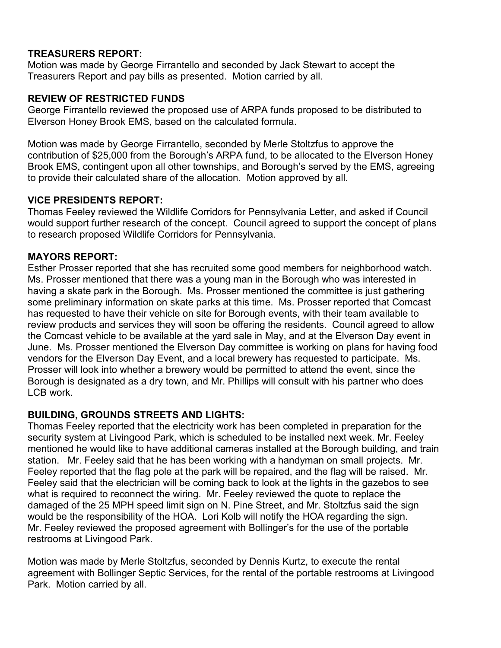## **TREASURERS REPORT:**

Motion was made by George Firrantello and seconded by Jack Stewart to accept the Treasurers Report and pay bills as presented. Motion carried by all.

#### **REVIEW OF RESTRICTED FUNDS**

George Firrantello reviewed the proposed use of ARPA funds proposed to be distributed to Elverson Honey Brook EMS, based on the calculated formula.

Motion was made by George Firrantello, seconded by Merle Stoltzfus to approve the contribution of \$25,000 from the Borough's ARPA fund, to be allocated to the Elverson Honey Brook EMS, contingent upon all other townships, and Borough's served by the EMS, agreeing to provide their calculated share of the allocation. Motion approved by all.

## **VICE PRESIDENTS REPORT:**

Thomas Feeley reviewed the Wildlife Corridors for Pennsylvania Letter, and asked if Council would support further research of the concept. Council agreed to support the concept of plans to research proposed Wildlife Corridors for Pennsylvania.

## **MAYORS REPORT:**

Esther Prosser reported that she has recruited some good members for neighborhood watch. Ms. Prosser mentioned that there was a young man in the Borough who was interested in having a skate park in the Borough. Ms. Prosser mentioned the committee is just gathering some preliminary information on skate parks at this time. Ms. Prosser reported that Comcast has requested to have their vehicle on site for Borough events, with their team available to review products and services they will soon be offering the residents. Council agreed to allow the Comcast vehicle to be available at the yard sale in May, and at the Elverson Day event in June. Ms. Prosser mentioned the Elverson Day committee is working on plans for having food vendors for the Elverson Day Event, and a local brewery has requested to participate. Ms. Prosser will look into whether a brewery would be permitted to attend the event, since the Borough is designated as a dry town, and Mr. Phillips will consult with his partner who does LCB work.

## **BUILDING, GROUNDS STREETS AND LIGHTS:**

Thomas Feeley reported that the electricity work has been completed in preparation for the security system at Livingood Park, which is scheduled to be installed next week. Mr. Feeley mentioned he would like to have additional cameras installed at the Borough building, and train station. Mr. Feeley said that he has been working with a handyman on small projects. Mr. Feeley reported that the flag pole at the park will be repaired, and the flag will be raised. Mr. Feeley said that the electrician will be coming back to look at the lights in the gazebos to see what is required to reconnect the wiring. Mr. Feeley reviewed the quote to replace the damaged of the 25 MPH speed limit sign on N. Pine Street, and Mr. Stoltzfus said the sign would be the responsibility of the HOA. Lori Kolb will notify the HOA regarding the sign. Mr. Feeley reviewed the proposed agreement with Bollinger's for the use of the portable restrooms at Livingood Park.

Motion was made by Merle Stoltzfus, seconded by Dennis Kurtz, to execute the rental agreement with Bollinger Septic Services, for the rental of the portable restrooms at Livingood Park. Motion carried by all.